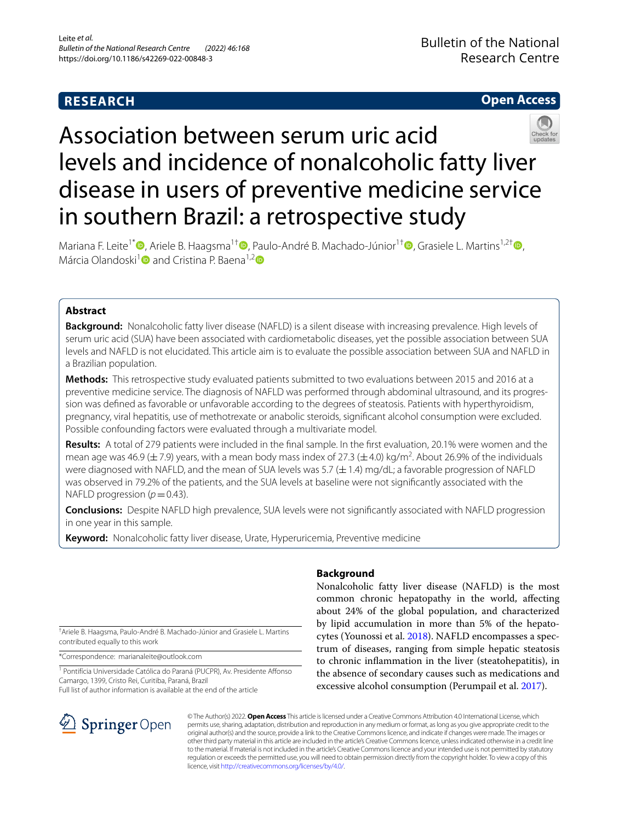# **RESEARCH**

# **Open Access**



# Association between serum uric acid levels and incidence of nonalcoholic fatty liver disease in users of preventive medicine service in southern Brazil: a retrospective study

Mariana F. Leite<sup>1\*</sup><sup>®</sup>[,](http://orcid.org/0000-0001-6153-1006) Ariele B. Haagsma<sup>1[†](http://orcid.org/0000-0002-5426-3696)</sup>®, Paulo-André B. Machado-Júnior<sup>1†</sup>®, Grasiele L. Martins<sup>1,2†</sup> ®, Márcia Olandoski<sup>1</sup> and Cristina P. Baena<sup>1,2</sup> D

# **Abstract**

**Background:** Nonalcoholic fatty liver disease (NAFLD) is a silent disease with increasing prevalence. High levels of serum uric acid (SUA) have been associated with cardiometabolic diseases, yet the possible association between SUA levels and NAFLD is not elucidated. This article aim is to evaluate the possible association between SUA and NAFLD in a Brazilian population.

**Methods:** This retrospective study evaluated patients submitted to two evaluations between 2015 and 2016 at a preventive medicine service. The diagnosis of NAFLD was performed through abdominal ultrasound, and its progres‑ sion was defned as favorable or unfavorable according to the degrees of steatosis. Patients with hyperthyroidism, pregnancy, viral hepatitis, use of methotrexate or anabolic steroids, signifcant alcohol consumption were excluded. Possible confounding factors were evaluated through a multivariate model.

**Results:** A total of 279 patients were included in the fnal sample. In the frst evaluation, 20.1% were women and the mean age was 46.9 ( $\pm$  7.9) years, with a mean body mass index of 27.3 ( $\pm$  4.0) kg/m<sup>2</sup>. About 26.9% of the individuals were diagnosed with NAFLD, and the mean of SUA levels was 5.7 ( $\pm$  1.4) mg/dL; a favorable progression of NAFLD was observed in 79.2% of the patients, and the SUA levels at baseline were not signifcantly associated with the NAFLD progression ( $p$  = 0.43).

**Conclusions:** Despite NAFLD high prevalence, SUA levels were not signifcantly associated with NAFLD progression in one year in this sample.

**Keyword:** Nonalcoholic fatty liver disease, Urate, Hyperuricemia, Preventive medicine

† Ariele B. Haagsma, Paulo-André B. Machado-Júnior and Grasiele L. Martins contributed equally to this work

\*Correspondence: marianaleite@outlook.com

<sup>1</sup> Pontifícia Universidade Católica do Paraná (PUCPR), Av. Presidente Affonso Camargo, 1399, Cristo Rei, Curitiba, Paraná, Brazil

# Full list of author information is available at the end of the article

# **Background**

Nonalcoholic fatty liver disease (NAFLD) is the most common chronic hepatopathy in the world, afecting about 24% of the global population, and characterized by lipid accumulation in more than 5% of the hepatocytes (Younossi et al. [2018\)](#page-6-0). NAFLD encompasses a spectrum of diseases, ranging from simple hepatic steatosis to chronic infammation in the liver (steatohepatitis), in the absence of secondary causes such as medications and excessive alcohol consumption (Perumpail et al. [2017](#page-6-1)).



© The Author(s) 2022. **Open Access** This article is licensed under a Creative Commons Attribution 4.0 International License, which permits use, sharing, adaptation, distribution and reproduction in any medium or format, as long as you give appropriate credit to the original author(s) and the source, provide a link to the Creative Commons licence, and indicate if changes were made. The images or other third party material in this article are included in the article's Creative Commons licence, unless indicated otherwise in a credit line to the material. If material is not included in the article's Creative Commons licence and your intended use is not permitted by statutory regulation or exceeds the permitted use, you will need to obtain permission directly from the copyright holder. To view a copy of this licence, visit [http://creativecommons.org/licenses/by/4.0/.](http://creativecommons.org/licenses/by/4.0/)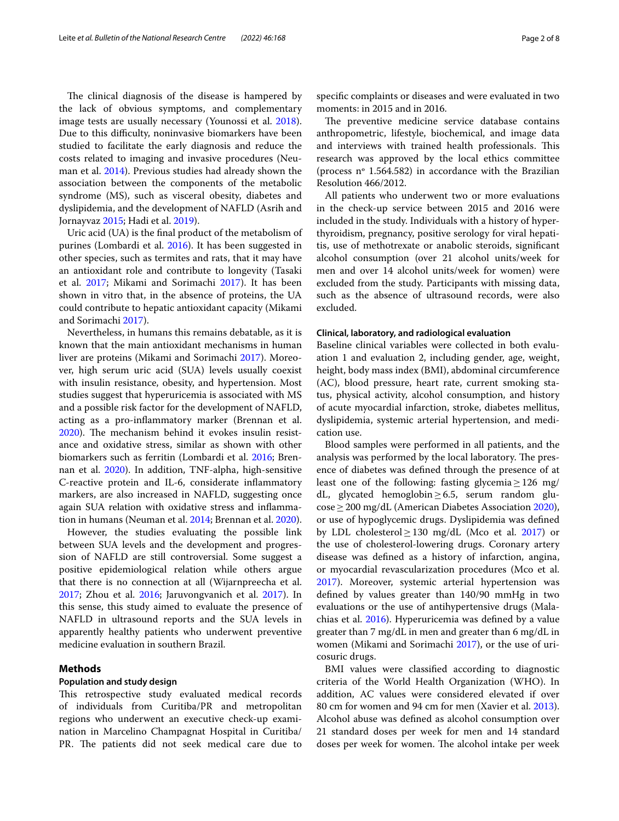The clinical diagnosis of the disease is hampered by the lack of obvious symptoms, and complementary image tests are usually necessary (Younossi et al. [2018](#page-6-0)). Due to this difficulty, noninvasive biomarkers have been studied to facilitate the early diagnosis and reduce the costs related to imaging and invasive procedures (Neuman et al. [2014\)](#page-6-2). Previous studies had already shown the association between the components of the metabolic syndrome (MS), such as visceral obesity, diabetes and dyslipidemia, and the development of NAFLD (Asrih and Jornayvaz [2015;](#page-6-3) Hadi et al. [2019\)](#page-6-4).

Uric acid (UA) is the fnal product of the metabolism of purines (Lombardi et al. [2016\)](#page-6-5). It has been suggested in other species, such as termites and rats, that it may have an antioxidant role and contribute to longevity (Tasaki et al. [2017](#page-6-6); Mikami and Sorimachi [2017\)](#page-6-7). It has been shown in vitro that, in the absence of proteins, the UA could contribute to hepatic antioxidant capacity (Mikami and Sorimachi [2017](#page-6-7)).

Nevertheless, in humans this remains debatable, as it is known that the main antioxidant mechanisms in human liver are proteins (Mikami and Sorimachi [2017\)](#page-6-7). Moreover, high serum uric acid (SUA) levels usually coexist with insulin resistance, obesity, and hypertension. Most studies suggest that hyperuricemia is associated with MS and a possible risk factor for the development of NAFLD, acting as a pro-infammatory marker (Brennan et al.  $2020$ ). The mechanism behind it evokes insulin resistance and oxidative stress, similar as shown with other biomarkers such as ferritin (Lombardi et al. [2016;](#page-6-5) Brennan et al. [2020](#page-6-8)). In addition, TNF-alpha, high-sensitive C-reactive protein and IL-6, considerate infammatory markers, are also increased in NAFLD, suggesting once again SUA relation with oxidative stress and infammation in humans (Neuman et al. [2014](#page-6-2); Brennan et al. [2020](#page-6-8)).

However, the studies evaluating the possible link between SUA levels and the development and progression of NAFLD are still controversial. Some suggest a positive epidemiological relation while others argue that there is no connection at all (Wijarnpreecha et al. [2017](#page-6-9); Zhou et al. [2016;](#page-7-0) Jaruvongvanich et al. [2017](#page-6-10)). In this sense, this study aimed to evaluate the presence of NAFLD in ultrasound reports and the SUA levels in apparently healthy patients who underwent preventive medicine evaluation in southern Brazil.

# **Methods**

## **Population and study design**

This retrospective study evaluated medical records of individuals from Curitiba/PR and metropolitan regions who underwent an executive check-up examination in Marcelino Champagnat Hospital in Curitiba/ PR. The patients did not seek medical care due to

specifc complaints or diseases and were evaluated in two moments: in 2015 and in 2016.

The preventive medicine service database contains anthropometric, lifestyle, biochemical, and image data and interviews with trained health professionals. This research was approved by the local ethics committee (process nº 1.564.582) in accordance with the Brazilian Resolution 466/2012.

All patients who underwent two or more evaluations in the check-up service between 2015 and 2016 were included in the study. Individuals with a history of hyperthyroidism, pregnancy, positive serology for viral hepatitis, use of methotrexate or anabolic steroids, signifcant alcohol consumption (over 21 alcohol units/week for men and over 14 alcohol units/week for women) were excluded from the study. Participants with missing data, such as the absence of ultrasound records, were also excluded.

## **Clinical, laboratory, and radiological evaluation**

Baseline clinical variables were collected in both evaluation 1 and evaluation 2, including gender, age, weight, height, body mass index (BMI), abdominal circumference (AC), blood pressure, heart rate, current smoking status, physical activity, alcohol consumption, and history of acute myocardial infarction, stroke, diabetes mellitus, dyslipidemia, systemic arterial hypertension, and medication use.

Blood samples were performed in all patients, and the analysis was performed by the local laboratory. The presence of diabetes was defned through the presence of at least one of the following: fasting glycemia $\geq$ 126 mg/ dL, glycated hemoglobin≥6.5, serum random glucose≥200 mg/dL (American Diabetes Association [2020](#page-6-11)), or use of hypoglycemic drugs. Dyslipidemia was defned by LDL cholesterol $\geq$ 130 mg/dL (Mco et al. [2017\)](#page-6-12) or the use of cholesterol-lowering drugs. Coronary artery disease was defned as a history of infarction, angina, or myocardial revascularization procedures (Mco et al. [2017](#page-6-12)). Moreover, systemic arterial hypertension was defned by values greater than 140/90 mmHg in two evaluations or the use of antihypertensive drugs (Malachias et al. [2016\)](#page-6-13). Hyperuricemia was defned by a value greater than 7 mg/dL in men and greater than 6 mg/dL in women (Mikami and Sorimachi [2017](#page-6-7)), or the use of uricosuric drugs.

BMI values were classifed according to diagnostic criteria of the World Health Organization (WHO). In addition, AC values were considered elevated if over 80 cm for women and 94 cm for men (Xavier et al. [2013](#page-6-14)). Alcohol abuse was defned as alcohol consumption over 21 standard doses per week for men and 14 standard doses per week for women. The alcohol intake per week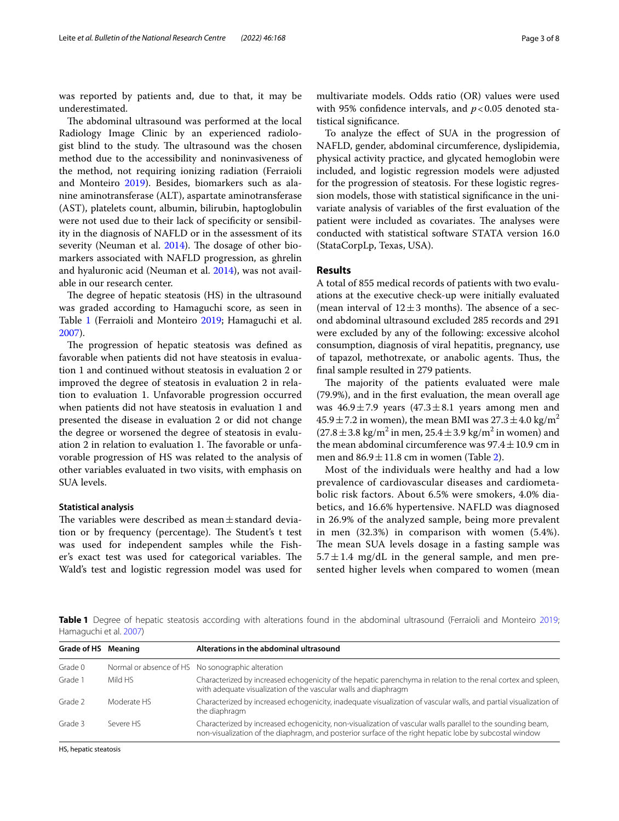was reported by patients and, due to that, it may be underestimated.

The abdominal ultrasound was performed at the local Radiology Image Clinic by an experienced radiologist blind to the study. The ultrasound was the chosen method due to the accessibility and noninvasiveness of the method, not requiring ionizing radiation (Ferraioli and Monteiro [2019\)](#page-6-15). Besides, biomarkers such as alanine aminotransferase (ALT), aspartate aminotransferase (AST), platelets count, albumin, bilirubin, haptoglobulin were not used due to their lack of specifcity or sensibility in the diagnosis of NAFLD or in the assessment of its severity (Neuman et al.  $2014$ ). The dosage of other biomarkers associated with NAFLD progression, as ghrelin and hyaluronic acid (Neuman et al. [2014\)](#page-6-2), was not available in our research center.

The degree of hepatic steatosis (HS) in the ultrasound was graded according to Hamaguchi score, as seen in Table [1](#page-2-0) (Ferraioli and Monteiro [2019](#page-6-15); Hamaguchi et al. [2007](#page-6-16)).

The progression of hepatic steatosis was defined as favorable when patients did not have steatosis in evaluation 1 and continued without steatosis in evaluation 2 or improved the degree of steatosis in evaluation 2 in relation to evaluation 1. Unfavorable progression occurred when patients did not have steatosis in evaluation 1 and presented the disease in evaluation 2 or did not change the degree or worsened the degree of steatosis in evaluation 2 in relation to evaluation 1. The favorable or unfavorable progression of HS was related to the analysis of other variables evaluated in two visits, with emphasis on SUA levels.

## **Statistical analysis**

The variables were described as mean $\pm$ standard deviation or by frequency (percentage). The Student's t test was used for independent samples while the Fisher's exact test was used for categorical variables. The Wald's test and logistic regression model was used for

To analyze the efect of SUA in the progression of NAFLD, gender, abdominal circumference, dyslipidemia, physical activity practice, and glycated hemoglobin were included, and logistic regression models were adjusted for the progression of steatosis. For these logistic regression models, those with statistical signifcance in the univariate analysis of variables of the frst evaluation of the patient were included as covariates. The analyses were conducted with statistical software STATA version 16.0 (StataCorpLp, Texas, USA).

# **Results**

A total of 855 medical records of patients with two evaluations at the executive check-up were initially evaluated (mean interval of  $12 \pm 3$  months). The absence of a second abdominal ultrasound excluded 285 records and 291 were excluded by any of the following: excessive alcohol consumption, diagnosis of viral hepatitis, pregnancy, use of tapazol, methotrexate, or anabolic agents. Tus, the fnal sample resulted in 279 patients.

The majority of the patients evaluated were male (79.9%), and in the frst evaluation, the mean overall age was  $46.9 \pm 7.9$  years  $(47.3 \pm 8.1$  years among men and  $45.9 \pm 7.2$  in women), the mean BMI was  $27.3 \pm 4.0$  kg/m<sup>2</sup>  $(27.8 \pm 3.8 \text{ kg/m}^2 \text{ in men}, 25.4 \pm 3.9 \text{ kg/m}^2 \text{ in women})$  and the mean abdominal circumference was  $97.4 \pm 10.9$  cm in men and  $86.9 \pm 11.8$  cm in women (Table [2\)](#page-3-0).

Most of the individuals were healthy and had a low prevalence of cardiovascular diseases and cardiometabolic risk factors. About 6.5% were smokers, 4.0% diabetics, and 16.6% hypertensive. NAFLD was diagnosed in 26.9% of the analyzed sample, being more prevalent in men (32.3%) in comparison with women (5.4%). The mean SUA levels dosage in a fasting sample was  $5.7 \pm 1.4$  mg/dL in the general sample, and men presented higher levels when compared to women (mean

<span id="page-2-0"></span>**Table 1** Degree of hepatic steatosis according with alterations found in the abdominal ultrasound (Ferraioli and Monteiro [2019](#page-6-15); Hamaguchi et al. [2007](#page-6-16))

| Grade of HS Meaning |             | Alterations in the abdominal ultrasound                                                                                                                                                                                |
|---------------------|-------------|------------------------------------------------------------------------------------------------------------------------------------------------------------------------------------------------------------------------|
| Grade 0             |             | Normal or absence of HS No sonographic alteration                                                                                                                                                                      |
| Grade 1             | Mild HS     | Characterized by increased echogenicity of the hepatic parenchyma in relation to the renal cortex and spleen,<br>with adequate visualization of the vascular walls and diaphragm                                       |
| Grade 2             | Moderate HS | Characterized by increased echogenicity, inadeguate visualization of vascular walls, and partial visualization of<br>the diaphragm                                                                                     |
| Grade 3             | Severe HS   | Characterized by increased echogenicity, non-visualization of vascular walls parallel to the sounding beam,<br>non-visualization of the diaphragm, and posterior surface of the right hepatic lobe by subcostal window |

HS, hepatic steatosis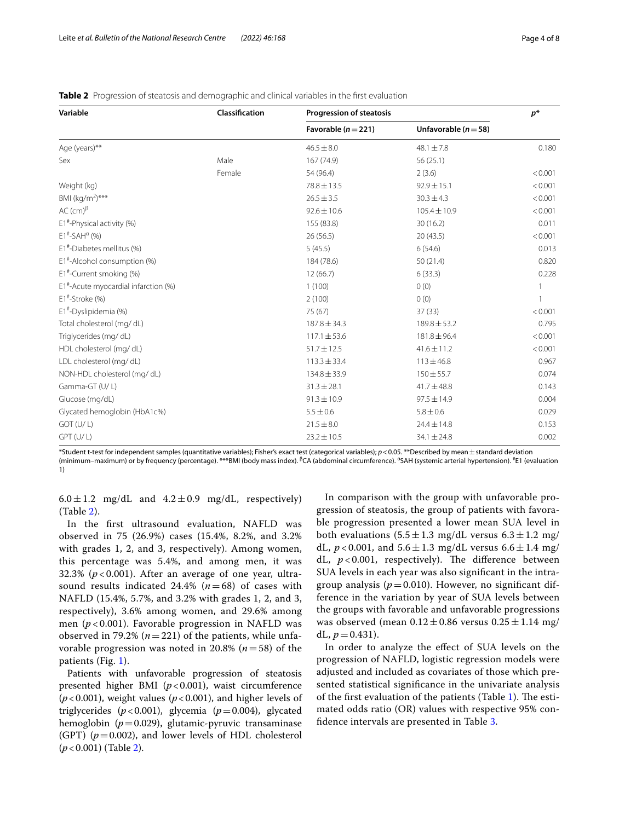| Variable                                          | Classification | <b>Progression of steatosis</b> | $p^*$                    |         |
|---------------------------------------------------|----------------|---------------------------------|--------------------------|---------|
|                                                   |                | Favorable ( $n = 221$ )         | Unfavorable ( $n = 58$ ) |         |
| Age (years)**                                     |                | $46.5 \pm 8.0$                  | $48.1 \pm 7.8$           | 0.180   |
| Sex                                               | Male           | 167 (74.9)                      | 56(25.1)                 |         |
|                                                   | Female         | 54 (96.4)                       | 2(3.6)                   | < 0.001 |
| Weight (kg)                                       |                | 78.8 ± 13.5                     | $92.9 \pm 15.1$          | < 0.001 |
| BMI $(kg/m^2)***$                                 |                | $26.5 \pm 3.5$                  | $30.3 \pm 4.3$           | < 0.001 |
| AC $(cm)^{\beta}$                                 |                | $92.6 \pm 10.6$                 | $105.4 \pm 10.9$         | < 0.001 |
| $E1^*$ -Physical activity (%)                     |                | 155 (83.8)                      | 30(16.2)                 | 0.011   |
| $E1^{\#}$ -SAH <sup><math>\alpha</math></sup> (%) |                | 26 (56.5)                       | 20(43.5)                 | < 0.001 |
| E1 <sup>#</sup> -Diabetes mellitus (%)            |                | 5(45.5)                         | 6(54.6)                  | 0.013   |
| E1 <sup>#</sup> -Alcohol consumption (%)          |                | 184 (78.6)                      | 50(21.4)                 | 0.820   |
| $E1^{\#}$ -Current smoking (%)                    |                | 12(66.7)                        | 6(33.3)                  | 0.228   |
| $E1^*$ -Acute myocardial infarction (%)           |                | 1(100)                          | 0(0)                     |         |
| $E1^*$ -Stroke (%)                                |                | 2(100)                          | 0(0)                     |         |
| E1#-Dyslipidemia (%)                              |                | 75 (67)                         | 37(33)                   | < 0.001 |
| Total cholesterol (mg/dL)                         |                | $187.8 \pm 34.3$                | $189.8 \pm 53.2$         | 0.795   |
| Triglycerides (mg/dL)                             |                | $117.1 \pm 53.6$                | $181.8 \pm 96.4$         | < 0.001 |
| HDL cholesterol (mg/dL)                           |                | $51.7 \pm 12.5$                 | $41.6 \pm 11.2$          | < 0.001 |
| LDL cholesterol (mg/dL)                           |                | $113.3 \pm 33.4$                | $113 \pm 46.8$           | 0.967   |
| NON-HDL cholesterol (mg/dL)                       |                | $134.8 \pm 33.9$                | $150 \pm 55.7$           | 0.074   |
| Gamma-GT (U/L)                                    |                | $31.3 \pm 28.1$                 | $41.7 \pm 48.8$          | 0.143   |
| Glucose (mg/dL)                                   |                | $91.3 \pm 10.9$                 | $97.5 \pm 14.9$          | 0.004   |
| Glycated hemoglobin (HbA1c%)                      |                | $5.5 \pm 0.6$                   | $5.8 \pm 0.6$            | 0.029   |
| GOT (U/L)                                         |                | $21.5 \pm 8.0$                  | $24.4 \pm 14.8$          | 0.153   |
| $GPT$ (U/L)                                       |                | $23.2 \pm 10.5$                 | $34.1 \pm 24.8$          | 0.002   |

<span id="page-3-0"></span>

| <b>Table 2</b> Progression of steatosis and demographic and clinical variables in the first evaluation |  |  |  |
|--------------------------------------------------------------------------------------------------------|--|--|--|
|                                                                                                        |  |  |  |

\*Student t-test for independent samples (quantitative variables); Fisher's exact test (categorical variables); *p*<0.05. \*\*Described by mean±standard deviation (minimum–maximum) or by frequency (percentage). \*\*\*BMI (body mass index). <sup>β</sup>CA (abdominal circumference). <sup>α</sup>SAH (systemic arterial hypertension). <sup>#</sup>E1 (evaluation 1)

 $6.0 \pm 1.2$  mg/dL and  $4.2 \pm 0.9$  mg/dL, respectively) (Table [2\)](#page-3-0).

In the frst ultrasound evaluation, NAFLD was observed in 75 (26.9%) cases (15.4%, 8.2%, and 3.2% with grades 1, 2, and 3, respectively). Among women, this percentage was 5.4%, and among men, it was 32.3% ( $p < 0.001$ ). After an average of one year, ultrasound results indicated 24.4% (*n*=68) of cases with NAFLD (15.4%, 5.7%, and 3.2% with grades 1, 2, and 3, respectively), 3.6% among women, and 29.6% among men (*p* < 0.001). Favorable progression in NAFLD was observed in 79.2% ( $n=221$ ) of the patients, while unfavorable progression was noted in 20.8% (*n*=58) of the patients (Fig. [1](#page-4-0)).

Patients with unfavorable progression of steatosis presented higher BMI (*p*<0.001), waist circumference  $(p<0.001)$ , weight values  $(p<0.001)$ , and higher levels of triglycerides  $(p<0.001)$ , glycemia  $(p=0.004)$ , glycated hemoglobin (*p*=0.029), glutamic-pyruvic transaminase (GPT)  $(p=0.002)$ , and lower levels of HDL cholesterol (*p*<0.001) (Table [2](#page-3-0)).

In comparison with the group with unfavorable progression of steatosis, the group of patients with favorable progression presented a lower mean SUA level in both evaluations  $(5.5 \pm 1.3 \text{ mg/dL} \text{ versus } 6.3 \pm 1.2 \text{ mg}/$ dL,  $p < 0.001$ , and  $5.6 \pm 1.3$  mg/dL versus  $6.6 \pm 1.4$  mg/ dL,  $p < 0.001$ , respectively). The difference between SUA levels in each year was also signifcant in the intragroup analysis ( $p=0.010$ ). However, no significant difference in the variation by year of SUA levels between the groups with favorable and unfavorable progressions was observed (mean  $0.12 \pm 0.86$  versus  $0.25 \pm 1.14$  mg/ dL,  $p = 0.431$ ).

In order to analyze the efect of SUA levels on the progression of NAFLD, logistic regression models were adjusted and included as covariates of those which presented statistical signifcance in the univariate analysis of the first evaluation of the patients (Table  $1$ ). The estimated odds ratio (OR) values with respective 95% confdence intervals are presented in Table [3.](#page-5-0)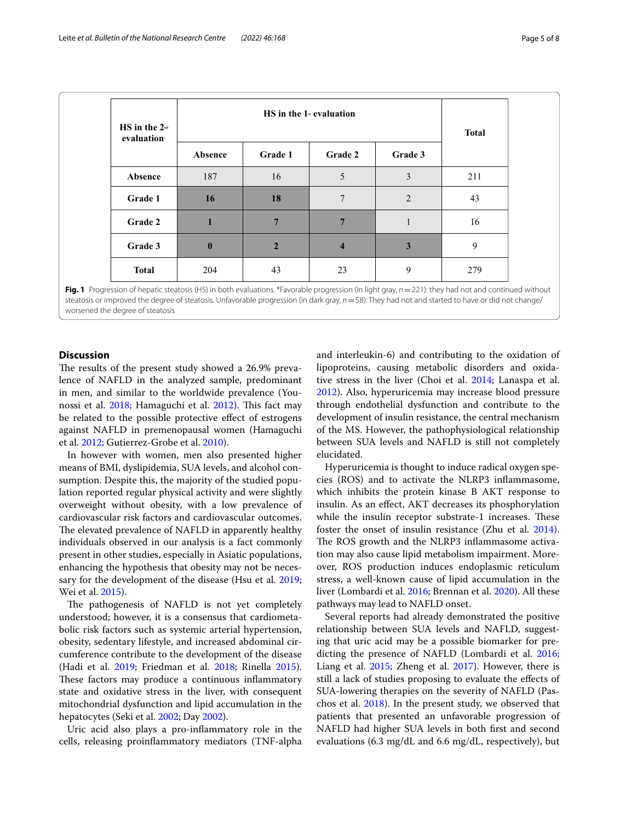| $HS$ in the $2nd$<br>evaluation | $HS$ in the 1 <sup><math>st</math></sup> evaluation |                |                         |              | <b>Total</b> |
|---------------------------------|-----------------------------------------------------|----------------|-------------------------|--------------|--------------|
|                                 | Absence                                             | Grade 1        | Grade 2                 | Grade 3      |              |
| Absence                         | 187                                                 | 16             | 5                       | 3            | 211          |
| Grade 1                         | 16                                                  | 18             | 7                       | 2            | 43           |
| Grade 2                         | $\mathbf{1}$                                        | $\overline{7}$ | $\overline{7}$          | $\mathbf{1}$ | 16           |
| Grade 3                         | $\bf{0}$                                            | $\overline{2}$ | $\overline{\mathbf{4}}$ | 3            | 9            |
| <b>Total</b>                    | 204                                                 | 43             | 23                      | 9            | 279          |

<span id="page-4-0"></span>**Fig. 1** Progression of hepatic steatosis (HS) in both evaluations. \*Favorable progression (in light gray, *n*=221): they had not and continued without steatosis or improved the degree of steatosis. Unfavorable progression (in dark gray, *n*=58): They had not and started to have or did not change/ worsened the degree of steatosis

# **Discussion**

The results of the present study showed a 26.9% prevalence of NAFLD in the analyzed sample, predominant in men, and similar to the worldwide prevalence (You-nossi et al. [2018;](#page-6-0) Hamaguchi et al. [2012\)](#page-6-17). This fact may be related to the possible protective efect of estrogens against NAFLD in premenopausal women (Hamaguchi et al. [2012;](#page-6-17) Gutierrez-Grobe et al. [2010\)](#page-6-18).

In however with women, men also presented higher means of BMI, dyslipidemia, SUA levels, and alcohol consumption. Despite this, the majority of the studied population reported regular physical activity and were slightly overweight without obesity, with a low prevalence of cardiovascular risk factors and cardiovascular outcomes. The elevated prevalence of NAFLD in apparently healthy individuals observed in our analysis is a fact commonly present in other studies, especially in Asiatic populations, enhancing the hypothesis that obesity may not be necessary for the development of the disease (Hsu et al. [2019](#page-6-19); Wei et al. [2015\)](#page-6-20).

The pathogenesis of NAFLD is not yet completely understood; however, it is a consensus that cardiometabolic risk factors such as systemic arterial hypertension, obesity, sedentary lifestyle, and increased abdominal circumference contribute to the development of the disease (Hadi et al. [2019;](#page-6-4) Friedman et al. [2018](#page-6-21); Rinella [2015](#page-6-22)). These factors may produce a continuous inflammatory state and oxidative stress in the liver, with consequent mitochondrial dysfunction and lipid accumulation in the hepatocytes (Seki et al. [2002;](#page-6-23) Day [2002](#page-6-24)).

Uric acid also plays a pro-infammatory role in the cells, releasing proinfammatory mediators (TNF-alpha and interleukin-6) and contributing to the oxidation of lipoproteins, causing metabolic disorders and oxidative stress in the liver (Choi et al. [2014](#page-6-25); Lanaspa et al. [2012](#page-6-26)). Also, hyperuricemia may increase blood pressure through endothelial dysfunction and contribute to the development of insulin resistance, the central mechanism of the MS. However, the pathophysiological relationship between SUA levels and NAFLD is still not completely elucidated.

Hyperuricemia is thought to induce radical oxygen species (ROS) and to activate the NLRP3 infammasome, which inhibits the protein kinase B AKT response to insulin. As an efect, AKT decreases its phosphorylation while the insulin receptor substrate-1 increases. These foster the onset of insulin resistance (Zhu et al. [2014](#page-7-1)). The ROS growth and the NLRP3 inflammasome activation may also cause lipid metabolism impairment. Moreover, ROS production induces endoplasmic reticulum stress, a well-known cause of lipid accumulation in the liver (Lombardi et al. [2016](#page-6-5); Brennan et al. [2020](#page-6-8)). All these pathways may lead to NAFLD onset.

Several reports had already demonstrated the positive relationship between SUA levels and NAFLD, suggesting that uric acid may be a possible biomarker for predicting the presence of NAFLD (Lombardi et al. [2016](#page-6-5); Liang et al. [2015;](#page-6-27) Zheng et al. [2017\)](#page-7-2). However, there is still a lack of studies proposing to evaluate the efects of SUA-lowering therapies on the severity of NAFLD (Paschos et al. [2018\)](#page-6-28). In the present study, we observed that patients that presented an unfavorable progression of NAFLD had higher SUA levels in both frst and second evaluations (6.3 mg/dL and 6.6 mg/dL, respectively), but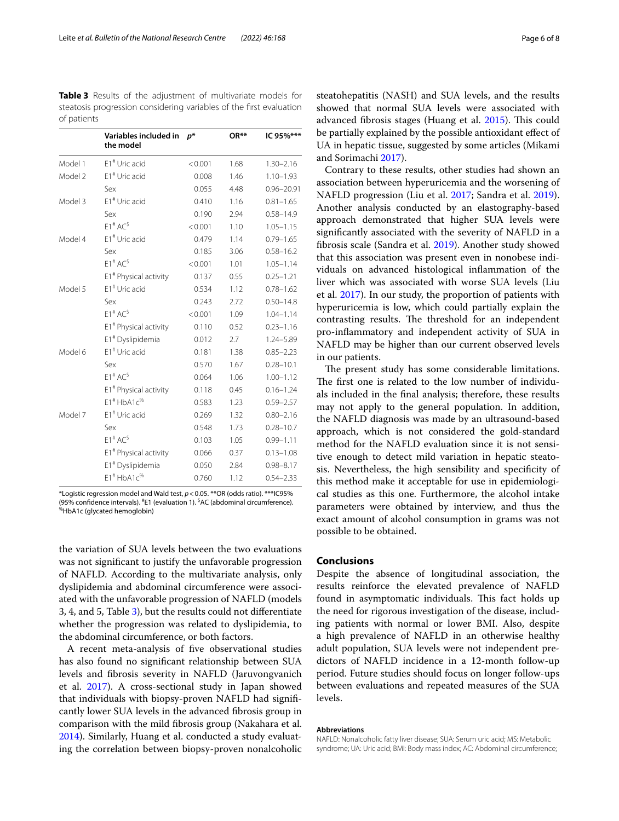<span id="page-5-0"></span>**Table 3** Results of the adjustment of multivariate models for steatosis progression considering variables of the frst evaluation of patients

|         | Variables included in<br>the model | $p^*$   | $OR**$ | IC 95%***      |
|---------|------------------------------------|---------|--------|----------------|
| Model 1 | $E1$ <sup>#</sup> Uric acid        | < 0.001 | 1.68   | $1.30 - 2.16$  |
| Model 2 | E1# Uric acid                      | 0.008   | 1.46   | $1.10 - 1.93$  |
|         | Sex                                | 0.055   | 4.48   | $0.96 - 20.91$ |
| Model 3 | E1# Uric acid                      | 0.410   | 1.16   | $0.81 - 1.65$  |
|         | Sex                                | 0.190   | 2.94   | $0.58 - 14.9$  |
|         | $F1^{\#}$ AC <sup>\$</sup>         | < 0.001 | 1.10   | $1.05 - 1.15$  |
| Model 4 | E1# Uric acid                      | 0.479   | 1.14   | $0.79 - 1.65$  |
|         | Sex                                | 0.185   | 3.06   | $0.58 - 16.2$  |
|         | $F1^{\#}$ AC <sup>\$</sup>         | < 0.001 | 1.01   | $1.05 - 1.14$  |
|         | E1# Physical activity              | 0.137   | 0.55   | $0.25 - 1.21$  |
| Model 5 | $E1$ <sup>#</sup> Uric acid        | 0.534   | 1.12   | $0.78 - 1.62$  |
|         | Sex                                | 0.243   | 2.72   | $0.50 - 14.8$  |
|         | $F1^{\#}$ AC <sup>\$</sup>         | < 0.001 | 1.09   | $1.04 - 1.14$  |
|         | E1# Physical activity              | 0.110   | 0.52   | $0.23 - 1.16$  |
|         | E1# Dyslipidemia                   | 0.012   | 2.7    | 1.24-5.89      |
| Model 6 | $E1^{\#}$ Uric acid                | 0.181   | 1.38   | $0.85 - 2.23$  |
|         | Sex                                | 0.570   | 1.67   | $0.28 - 10.1$  |
|         | $F1^{\#}$ AC <sup>\$</sup>         | 0.064   | 1.06   | $1.00 - 1.12$  |
|         | E1 <sup>#</sup> Physical activity  | 0.118   | 0.45   | $0.16 - 1.24$  |
|         | $F1^{\#}$ HbA1 $c^{\%}$            | 0.583   | 1.23   | $0.59 - 2.57$  |
| Model 7 | E1# Uric acid                      | 0.269   | 1.32   | $0.80 - 2.16$  |
|         | Sex                                | 0.548   | 1.73   | $0.28 - 10.7$  |
|         | $F1^{\#}$ AC <sup>\$</sup>         | 0.103   | 1.05   | $0.99 - 1.11$  |
|         | E1# Physical activity              | 0.066   | 0.37   | $0.13 - 1.08$  |
|         | E1# Dyslipidemia                   | 0.050   | 2.84   | $0.98 - 8.17$  |
|         | $E1^{\#}$ HbA1 $C^{%}$             | 0.760   | 1.12   | $0.54 - 2.33$  |

\*Logistic regression model and Wald test, *p*<0.05. \*\*OR (odds ratio). \*\*\*IC95% (95% confidence intervals). <sup>#</sup>E1 (evaluation 1). <sup>\$</sup>AC (abdominal circumference).<br><sup>%</sup>HbA1c (glycated hemoglobin)

the variation of SUA levels between the two evaluations was not signifcant to justify the unfavorable progression of NAFLD. According to the multivariate analysis, only dyslipidemia and abdominal circumference were associated with the unfavorable progression of NAFLD (models 3, 4, and 5, Table [3\)](#page-5-0), but the results could not diferentiate whether the progression was related to dyslipidemia, to the abdominal circumference, or both factors.

A recent meta-analysis of fve observational studies has also found no signifcant relationship between SUA levels and fbrosis severity in NAFLD (Jaruvongvanich et al. [2017](#page-6-10)). A cross-sectional study in Japan showed that individuals with biopsy-proven NAFLD had signifcantly lower SUA levels in the advanced fbrosis group in comparison with the mild fbrosis group (Nakahara et al. [2014](#page-6-29)). Similarly, Huang et al. conducted a study evaluating the correlation between biopsy-proven nonalcoholic steatohepatitis (NASH) and SUA levels, and the results showed that normal SUA levels were associated with advanced fibrosis stages (Huang et al. [2015\)](#page-6-30). This could be partially explained by the possible antioxidant efect of UA in hepatic tissue, suggested by some articles (Mikami and Sorimachi [2017](#page-6-7)).

Contrary to these results, other studies had shown an association between hyperuricemia and the worsening of NAFLD progression (Liu et al. [2017;](#page-6-31) Sandra et al. [2019](#page-6-32)). Another analysis conducted by an elastography-based approach demonstrated that higher SUA levels were signifcantly associated with the severity of NAFLD in a fbrosis scale (Sandra et al. [2019](#page-6-32)). Another study showed that this association was present even in nonobese individuals on advanced histological infammation of the liver which was associated with worse SUA levels (Liu et al. [2017](#page-6-31)). In our study, the proportion of patients with hyperuricemia is low, which could partially explain the contrasting results. The threshold for an independent pro-infammatory and independent activity of SUA in NAFLD may be higher than our current observed levels in our patients.

The present study has some considerable limitations. The first one is related to the low number of individuals included in the fnal analysis; therefore, these results may not apply to the general population. In addition, the NAFLD diagnosis was made by an ultrasound-based approach, which is not considered the gold-standard method for the NAFLD evaluation since it is not sensitive enough to detect mild variation in hepatic steatosis. Nevertheless, the high sensibility and specifcity of this method make it acceptable for use in epidemiological studies as this one. Furthermore, the alcohol intake parameters were obtained by interview, and thus the exact amount of alcohol consumption in grams was not possible to be obtained.

# **Conclusions**

Despite the absence of longitudinal association, the results reinforce the elevated prevalence of NAFLD found in asymptomatic individuals. This fact holds up the need for rigorous investigation of the disease, including patients with normal or lower BMI. Also, despite a high prevalence of NAFLD in an otherwise healthy adult population, SUA levels were not independent predictors of NAFLD incidence in a 12-month follow-up period. Future studies should focus on longer follow-ups between evaluations and repeated measures of the SUA levels.

#### **Abbreviations**

NAFLD: Nonalcoholic fatty liver disease; SUA: Serum uric acid; MS: Metabolic syndrome; UA: Uric acid; BMI: Body mass index; AC: Abdominal circumference;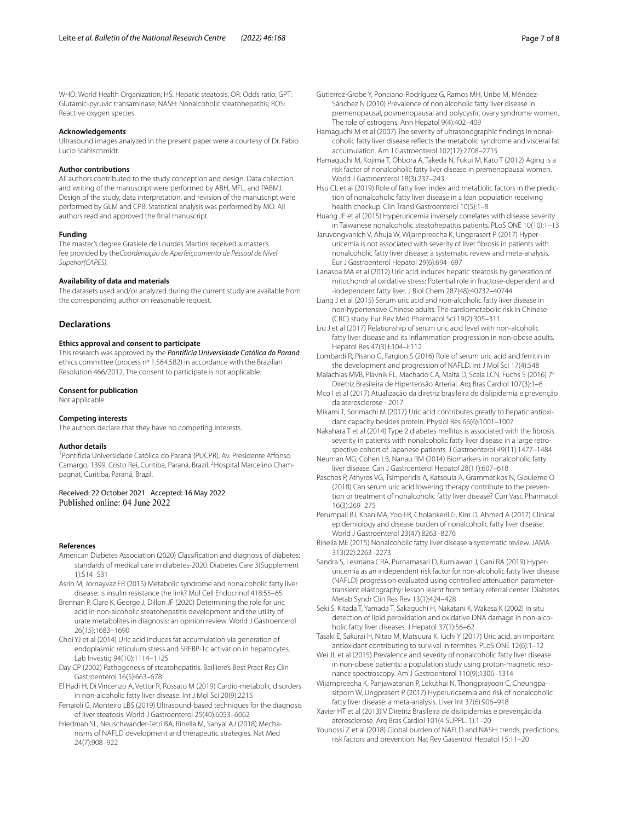WHO: World Health Organization; HS: Hepatic steatosis; OR: Odds ratio; GPT: Glutamic-pyruvic transaminase; NASH: Nonalcoholic steatohepatitis; ROS: Reactive oxygen species.

#### **Acknowledgements**

Ultrasound images analyzed in the present paper were a courtesy of Dr. Fabio Lucio Stahlschmidt.

# **Author contributions**

All authors contributed to the study conception and design. Data collection and writing of the manuscript were performed by ABH, MFL, and PABMJ. Design of the study, data interpretation, and revision of the manuscript were performed by GLM and CPB. Statistical analysis was performed by MO. All authors read and approved the fnal manuscript.

#### **Funding**

The master's degree Grasiele de Lourdes Martins received a master's fee provided by the*Coordenação de Aperfeiçoamento de Pessoal de Nível Superior(CAPES).*

## **Availability of data and materials**

The datasets used and/or analyzed during the current study are available from the corresponding author on reasonable request.

## **Declarations**

#### **Ethics approval and consent to participate**

This research was approved by the *Pontifícia Universidade Católica do Paraná* ethics committee (process nº 1.564.582) in accordance with the Brazilian Resolution 466/2012. The consent to participate is not applicable.

#### **Consent for publication**

Not applicable.

#### **Competing interests**

The authors declare that they have no competing interests.

#### **Author details**

<sup>1</sup> Pontifícia Universidade Católica do Paraná (PUCPR), Av. Presidente Affonso Camargo, 1399, Cristo Rei, Curitiba, Paraná, Brazil. <sup>2</sup> Hospital Marcelino Champagnat, Curitiba, Paraná, Brazil.

# Received: 22 October 2021 Accepted: 16 May 2022 Published online: 04 June 2022

#### **References**

- <span id="page-6-11"></span>American Diabetes Association (2020) Classifcation and diagnosis of diabetes: standards of medical care in diabetes-2020. Diabetes Care 3(Supplement 1):S14–S31
- <span id="page-6-3"></span>Asrih M, Jornayvaz FR (2015) Metabolic syndrome and nonalcoholic fatty liver disease: is insulin resistance the link? Mol Cell Endocrinol 418:55–65
- <span id="page-6-8"></span>Brennan P, Clare K, George J, Dillon JF (2020) Determining the role for uric acid in non-alcoholic steatohepatitis development and the utility of urate metabolites in diagnosis: an opinion review. World J Gastroenterol 26(15):1683–1690
- <span id="page-6-25"></span>Choi YJ et al (2014) Uric acid induces fat accumulation via generation of endoplasmic reticulum stress and SREBP-1c activation in hepatocytes. Lab Investig 94(10):1114–1125
- <span id="page-6-24"></span>Day CP (2002) Pathogenesis of steatohepatitis. Bailliere's Best Pract Res Clin Gastroenterol 16(5):663–678
- <span id="page-6-4"></span>El Hadi H, Di Vincenzo A, Vettor R, Rossato M (2019) Cardio-metabolic disorders in non-alcoholic fatty liver disease. Int J Mol Sci 20(9):2215
- <span id="page-6-15"></span>Ferraioli G, Monteiro LBS (2019) Ultrasound-based techniques for the diagnosis of liver steatosis. World J Gastroenterol 25(40):6053–6062
- <span id="page-6-21"></span>Friedman SL, Neuschwander-Tetri BA, Rinella M, Sanyal AJ (2018) Mechanisms of NAFLD development and therapeutic strategies. Nat Med 24(7):908–922
- <span id="page-6-18"></span>Gutierrez-Grobe Y, Ponciano-Rodríguez G, Ramos MH, Uribe M, Méndez-Sánchez N (2010) Prevalence of non alcoholic fatty liver disease in premenopausal, posmenopausal and polycystic ovary syndrome women. The role of estrogens. Ann Hepatol 9(4):402–409
- <span id="page-6-16"></span>Hamaguchi M et al (2007) The severity of ultrasonographic findings in nonalcoholic fatty liver disease refects the metabolic syndrome and visceral fat accumulation. Am J Gastroenterol 102(12):2708–2715
- <span id="page-6-17"></span>Hamaguchi M, Kojima T, Ohbora A, Takeda N, Fukui M, Kato T (2012) Aging is a risk factor of nonalcoholic fatty liver disease in premenopausal women. World J Gastroenterol 18(3):237–243
- <span id="page-6-19"></span>Hsu CL et al (2019) Role of fatty liver index and metabolic factors in the prediction of nonalcoholic fatty liver disease in a lean population receiving health checkup. Clin Transl Gastroenterol 10(5):1–8
- <span id="page-6-30"></span>Huang JF et al (2015) Hyperuricemia inversely correlates with disease severity in Taiwanese nonalcoholic steatohepatitis patients. PLoS ONE 10(10):1–13
- <span id="page-6-10"></span>Jaruvongvanich V, Ahuja W, Wijarnpreecha K, Ungprasert P (2017) Hyperuricemia is not associated with severity of liver fbrosis in patients with nonalcoholic fatty liver disease: a systematic review and meta-analysis. Eur J Gastroenterol Hepatol 29(6):694–697
- <span id="page-6-26"></span>Lanaspa MA et al (2012) Uric acid induces hepatic steatosis by generation of mitochondrial oxidative stress: Potential role in fructose-dependent and -independent fatty liver. J Biol Chem 287(48):40732–40744
- <span id="page-6-27"></span>Liang J et al (2015) Serum uric acid and non-alcoholic fatty liver disease in non-hypertensive Chinese adults: The cardiometabolic risk in Chinese (CRC) study. Eur Rev Med Pharmacol Sci 19(2):305–311
- <span id="page-6-31"></span>Liu J et al (2017) Relationship of serum uric acid level with non-alcoholic fatty liver disease and its infammation progression in non-obese adults. Hepatol Res 47(3):E104–E112
- <span id="page-6-5"></span>Lombardi R, Pisano G, Fargion S (2016) Role of serum uric acid and ferritin in the development and progression of NAFLD. Int J Mol Sci 17(4):548
- <span id="page-6-13"></span>Malachias MVB, Plavnik FL, Machado CA, Malta D, Scala LCN, Fuchs S (2016) 7<sup>a</sup> Diretriz Brasileira de Hipertensão Arterial. Arq Bras Cardiol 107(3):1–6
- <span id="page-6-12"></span>Mco I et al (2017) Atualização da diretriz brasileira de dislipidemia e prevenção da aterosclerose - 2017
- <span id="page-6-7"></span>Mikami T, Sorimachi M (2017) Uric acid contributes greatly to hepatic antioxidant capacity besides protein. Physiol Res 66(6):1001–1007
- <span id="page-6-29"></span>Nakahara T et al (2014) Type 2 diabetes mellitus is associated with the fbrosis severity in patients with nonalcoholic fatty liver disease in a large retrospective cohort of Japanese patients. J Gastroenterol 49(11):1477–1484
- <span id="page-6-2"></span>Neuman MG, Cohen LB, Nanau RM (2014) Biomarkers in nonalcoholic fatty liver disease. Can J Gastroenterol Hepatol 28(11):607–618
- <span id="page-6-28"></span>Paschos P, Athyros VG, Tsimperidis A, Katsoula A, Grammatikos N, Giouleme O (2018) Can serum uric acid lowering therapy contribute to the prevention or treatment of nonalcoholic fatty liver disease? Curr Vasc Pharmacol 16(3):269–275
- <span id="page-6-1"></span>Perumpail BJ, Khan MA, Yoo ER, Cholankeril G, Kim D, Ahmed A (2017) Clinical epidemiology and disease burden of nonalcoholic fatty liver disease. World J Gastroenterol 23(47):8263–8276
- <span id="page-6-22"></span>Rinella ME (2015) Nonalcoholic fatty liver disease a systematic review. JAMA 313(22):2263–2273
- <span id="page-6-32"></span>Sandra S, Lesmana CRA, Purnamasari D, Kurniawan J, Gani RA (2019) Hyper‑ uricemia as an independent risk factor for non-alcoholic fatty liver disease (NAFLD) progression evaluated using controlled attenuation parametertransient elastography: lesson learnt from tertiary referral center. Diabetes Metab Syndr Clin Res Rev 13(1):424–428
- <span id="page-6-23"></span>Seki S, Kitada T, Yamada T, Sakaguchi H, Nakatani K, Wakasa K (2002) In situ detection of lipid peroxidation and oxidative DNA damage in non-alcoholic fatty liver diseases. J Hepatol 37(1):56–62
- <span id="page-6-6"></span>Tasaki E, Sakurai H, Nitao M, Matsuura K, Iuchi Y (2017) Uric acid, an important antioxidant contributing to survival in termites. PLoS ONE 12(6):1–12
- <span id="page-6-20"></span>Wei JL et al (2015) Prevalence and severity of nonalcoholic fatty liver disease in non-obese patients: a population study using proton-magnetic resonance spectroscopy. Am J Gastroenterol 110(9):1306–1314
- <span id="page-6-9"></span>Wijarnpreecha K, Panjawatanan P, Lekuthai N, Thongprayoon C, Cheungpasitporn W, Ungprasert P (2017) Hyperuricaemia and risk of nonalcoholic fatty liver disease: a meta-analysis. Liver Int 37(6):906–918
- <span id="page-6-14"></span>Xavier HT et al (2013) V Diretriz Brasileira de dislipidemias e prevenção da aterosclerose. Arq Bras Cardiol 101(4 SUPPL. 1):1–20
- <span id="page-6-0"></span>Younossi Z et al (2018) Global burden of NAFLD and NASH: trends, predictions, risk factors and prevention. Nat Rev Gasentrol Hepatol 15:11–20